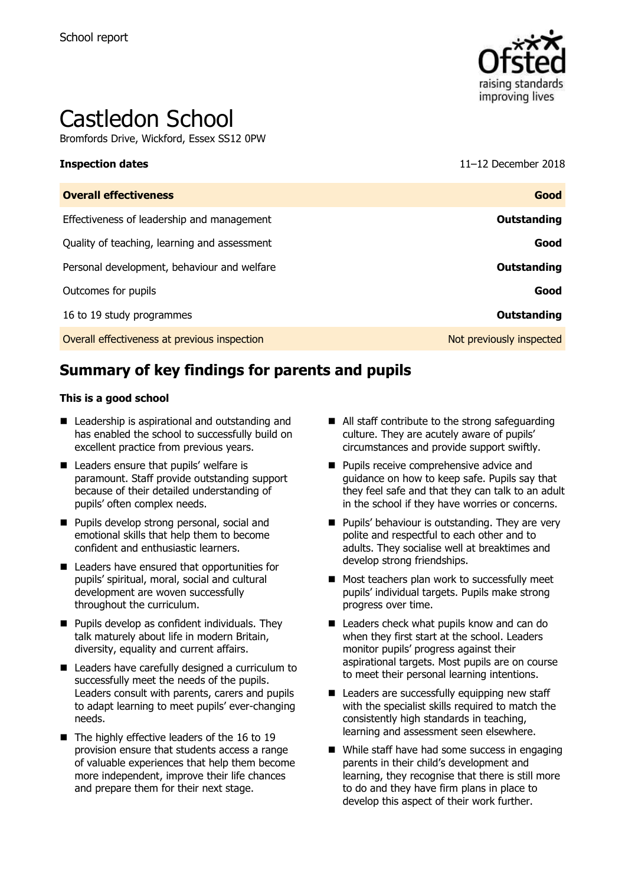

# Castledon School

Bromfords Drive, Wickford, Essex SS12 0PW

**Inspection dates** 11–12 December 2018

| Good                     |
|--------------------------|
| Outstanding              |
| Good                     |
| Outstanding              |
| Good                     |
| Outstanding              |
| Not previously inspected |
|                          |

# **Summary of key findings for parents and pupils**

#### **This is a good school**

- Leadership is aspirational and outstanding and has enabled the school to successfully build on excellent practice from previous years.
- Leaders ensure that pupils' welfare is paramount. Staff provide outstanding support because of their detailed understanding of pupils' often complex needs.
- **Pupils develop strong personal, social and** emotional skills that help them to become confident and enthusiastic learners.
- Leaders have ensured that opportunities for pupils' spiritual, moral, social and cultural development are woven successfully throughout the curriculum.
- $\blacksquare$  Pupils develop as confident individuals. They talk maturely about life in modern Britain, diversity, equality and current affairs.
- Leaders have carefully designed a curriculum to successfully meet the needs of the pupils. Leaders consult with parents, carers and pupils to adapt learning to meet pupils' ever-changing needs.
- $\blacksquare$  The highly effective leaders of the 16 to 19 provision ensure that students access a range of valuable experiences that help them become more independent, improve their life chances and prepare them for their next stage.
- All staff contribute to the strong safeguarding culture. They are acutely aware of pupils' circumstances and provide support swiftly.
- **Pupils receive comprehensive advice and** guidance on how to keep safe. Pupils say that they feel safe and that they can talk to an adult in the school if they have worries or concerns.
- **Pupils' behaviour is outstanding. They are very** polite and respectful to each other and to adults. They socialise well at breaktimes and develop strong friendships.
- Most teachers plan work to successfully meet pupils' individual targets. Pupils make strong progress over time.
- Leaders check what pupils know and can do when they first start at the school. Leaders monitor pupils' progress against their aspirational targets. Most pupils are on course to meet their personal learning intentions.
- Leaders are successfully equipping new staff with the specialist skills required to match the consistently high standards in teaching, learning and assessment seen elsewhere.
- While staff have had some success in engaging parents in their child's development and learning, they recognise that there is still more to do and they have firm plans in place to develop this aspect of their work further.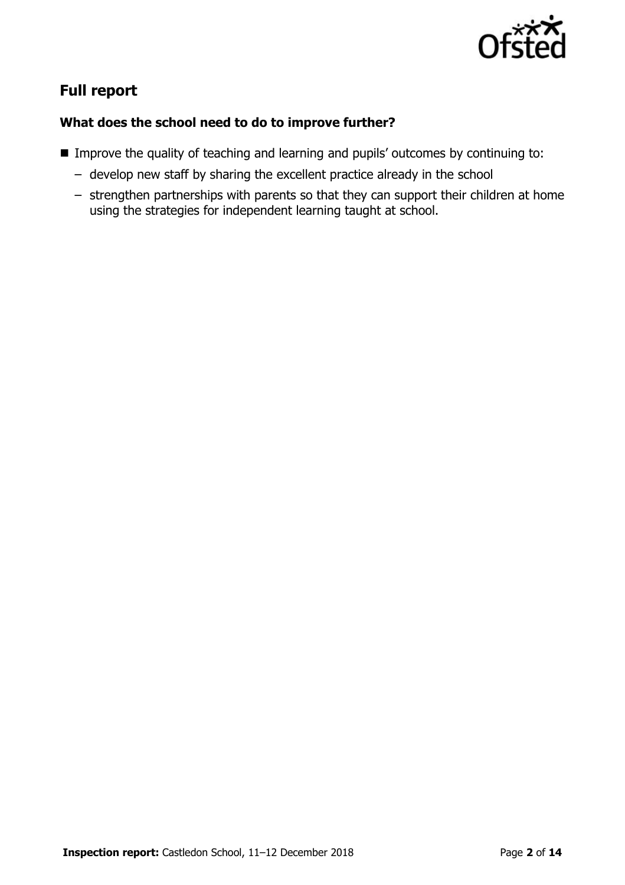

# **Full report**

### **What does the school need to do to improve further?**

- **IMPROVE the quality of teaching and learning and pupils' outcomes by continuing to:** 
	- develop new staff by sharing the excellent practice already in the school
	- strengthen partnerships with parents so that they can support their children at home using the strategies for independent learning taught at school.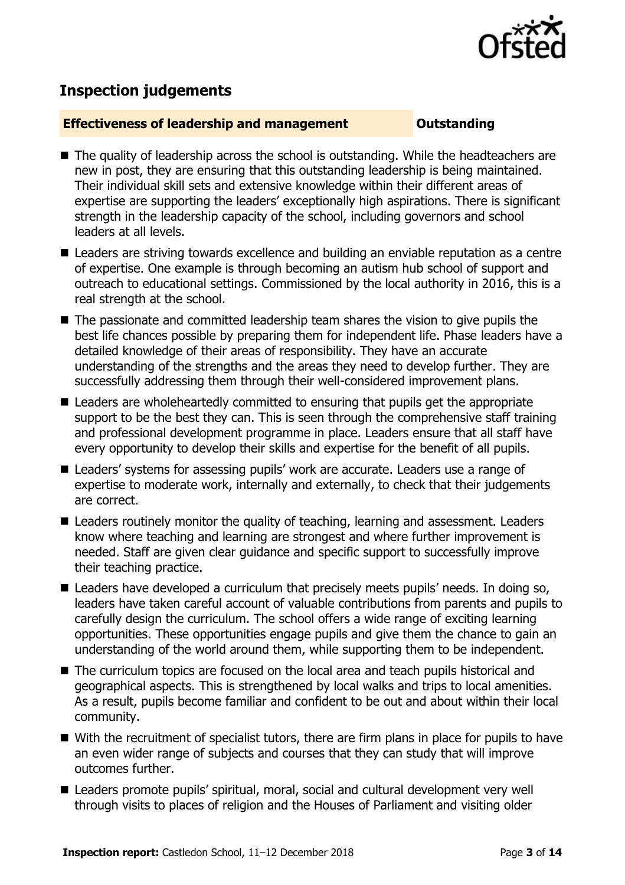

## **Inspection judgements**

#### **Effectiveness of leadership and management Constanding**

- The quality of leadership across the school is outstanding. While the headteachers are new in post, they are ensuring that this outstanding leadership is being maintained. Their individual skill sets and extensive knowledge within their different areas of expertise are supporting the leaders' exceptionally high aspirations. There is significant strength in the leadership capacity of the school, including governors and school leaders at all levels.
- Leaders are striving towards excellence and building an enviable reputation as a centre of expertise. One example is through becoming an autism hub school of support and outreach to educational settings. Commissioned by the local authority in 2016, this is a real strength at the school.
- The passionate and committed leadership team shares the vision to give pupils the best life chances possible by preparing them for independent life. Phase leaders have a detailed knowledge of their areas of responsibility. They have an accurate understanding of the strengths and the areas they need to develop further. They are successfully addressing them through their well-considered improvement plans.
- Leaders are wholeheartedly committed to ensuring that pupils get the appropriate support to be the best they can. This is seen through the comprehensive staff training and professional development programme in place. Leaders ensure that all staff have every opportunity to develop their skills and expertise for the benefit of all pupils.
- Leaders' systems for assessing pupils' work are accurate. Leaders use a range of expertise to moderate work, internally and externally, to check that their judgements are correct.
- Leaders routinely monitor the quality of teaching, learning and assessment. Leaders know where teaching and learning are strongest and where further improvement is needed. Staff are given clear guidance and specific support to successfully improve their teaching practice.
- Leaders have developed a curriculum that precisely meets pupils' needs. In doing so, leaders have taken careful account of valuable contributions from parents and pupils to carefully design the curriculum. The school offers a wide range of exciting learning opportunities. These opportunities engage pupils and give them the chance to gain an understanding of the world around them, while supporting them to be independent.
- The curriculum topics are focused on the local area and teach pupils historical and geographical aspects. This is strengthened by local walks and trips to local amenities. As a result, pupils become familiar and confident to be out and about within their local community.
- With the recruitment of specialist tutors, there are firm plans in place for pupils to have an even wider range of subjects and courses that they can study that will improve outcomes further.
- Leaders promote pupils' spiritual, moral, social and cultural development very well through visits to places of religion and the Houses of Parliament and visiting older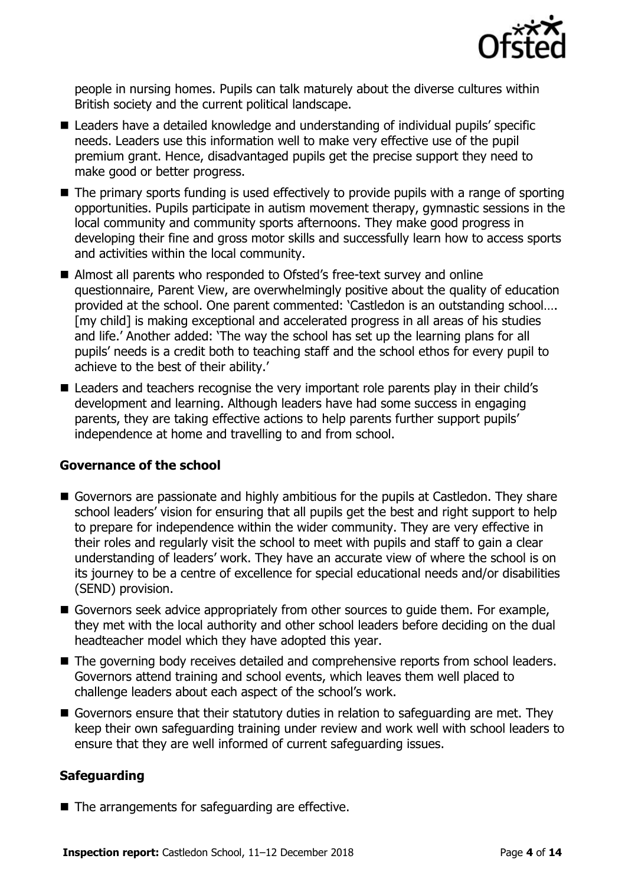

people in nursing homes. Pupils can talk maturely about the diverse cultures within British society and the current political landscape.

- Leaders have a detailed knowledge and understanding of individual pupils' specific needs. Leaders use this information well to make very effective use of the pupil premium grant. Hence, disadvantaged pupils get the precise support they need to make good or better progress.
- The primary sports funding is used effectively to provide pupils with a range of sporting opportunities. Pupils participate in autism movement therapy, gymnastic sessions in the local community and community sports afternoons. They make good progress in developing their fine and gross motor skills and successfully learn how to access sports and activities within the local community.
- Almost all parents who responded to Ofsted's free-text survey and online questionnaire, Parent View, are overwhelmingly positive about the quality of education provided at the school. One parent commented: 'Castledon is an outstanding school…. [my child] is making exceptional and accelerated progress in all areas of his studies and life.' Another added: 'The way the school has set up the learning plans for all pupils' needs is a credit both to teaching staff and the school ethos for every pupil to achieve to the best of their ability.'
- Leaders and teachers recognise the very important role parents play in their child's development and learning. Although leaders have had some success in engaging parents, they are taking effective actions to help parents further support pupils' independence at home and travelling to and from school.

### **Governance of the school**

- Governors are passionate and highly ambitious for the pupils at Castledon. They share school leaders' vision for ensuring that all pupils get the best and right support to help to prepare for independence within the wider community. They are very effective in their roles and regularly visit the school to meet with pupils and staff to gain a clear understanding of leaders' work. They have an accurate view of where the school is on its journey to be a centre of excellence for special educational needs and/or disabilities (SEND) provision.
- Governors seek advice appropriately from other sources to quide them. For example, they met with the local authority and other school leaders before deciding on the dual headteacher model which they have adopted this year.
- The governing body receives detailed and comprehensive reports from school leaders. Governors attend training and school events, which leaves them well placed to challenge leaders about each aspect of the school's work.
- Governors ensure that their statutory duties in relation to safeguarding are met. They keep their own safeguarding training under review and work well with school leaders to ensure that they are well informed of current safeguarding issues.

### **Safeguarding**

■ The arrangements for safeguarding are effective.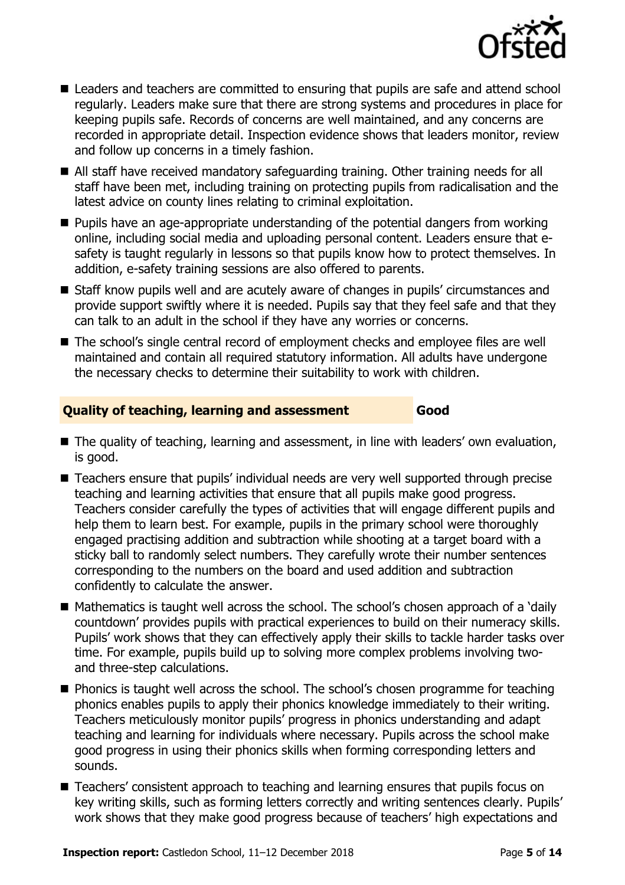

- Leaders and teachers are committed to ensuring that pupils are safe and attend school regularly. Leaders make sure that there are strong systems and procedures in place for keeping pupils safe. Records of concerns are well maintained, and any concerns are recorded in appropriate detail. Inspection evidence shows that leaders monitor, review and follow up concerns in a timely fashion.
- All staff have received mandatory safeguarding training. Other training needs for all staff have been met, including training on protecting pupils from radicalisation and the latest advice on county lines relating to criminal exploitation.
- **Pupils have an age-appropriate understanding of the potential dangers from working** online, including social media and uploading personal content. Leaders ensure that esafety is taught regularly in lessons so that pupils know how to protect themselves. In addition, e-safety training sessions are also offered to parents.
- Staff know pupils well and are acutely aware of changes in pupils' circumstances and provide support swiftly where it is needed. Pupils say that they feel safe and that they can talk to an adult in the school if they have any worries or concerns.
- The school's single central record of employment checks and employee files are well maintained and contain all required statutory information. All adults have undergone the necessary checks to determine their suitability to work with children.

### **Quality of teaching, learning and assessment Good**

- The quality of teaching, learning and assessment, in line with leaders' own evaluation, is good.
- Teachers ensure that pupils' individual needs are very well supported through precise teaching and learning activities that ensure that all pupils make good progress. Teachers consider carefully the types of activities that will engage different pupils and help them to learn best. For example, pupils in the primary school were thoroughly engaged practising addition and subtraction while shooting at a target board with a sticky ball to randomly select numbers. They carefully wrote their number sentences corresponding to the numbers on the board and used addition and subtraction confidently to calculate the answer.
- Mathematics is taught well across the school. The school's chosen approach of a 'daily countdown' provides pupils with practical experiences to build on their numeracy skills. Pupils' work shows that they can effectively apply their skills to tackle harder tasks over time. For example, pupils build up to solving more complex problems involving twoand three-step calculations.
- **Phonics is taught well across the school. The school's chosen programme for teaching** phonics enables pupils to apply their phonics knowledge immediately to their writing. Teachers meticulously monitor pupils' progress in phonics understanding and adapt teaching and learning for individuals where necessary. Pupils across the school make good progress in using their phonics skills when forming corresponding letters and sounds.
- Teachers' consistent approach to teaching and learning ensures that pupils focus on key writing skills, such as forming letters correctly and writing sentences clearly. Pupils' work shows that they make good progress because of teachers' high expectations and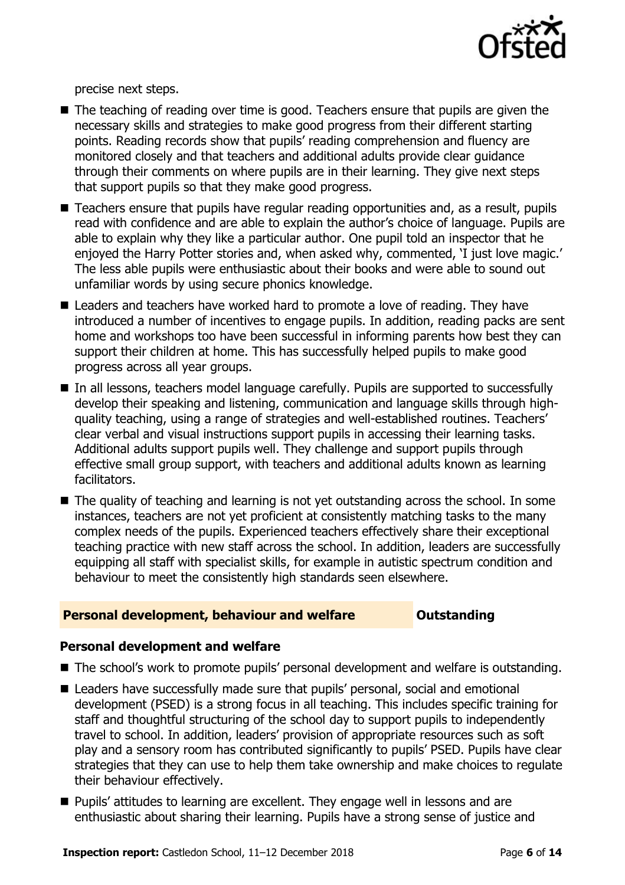

precise next steps.

- $\blacksquare$  The teaching of reading over time is good. Teachers ensure that pupils are given the necessary skills and strategies to make good progress from their different starting points. Reading records show that pupils' reading comprehension and fluency are monitored closely and that teachers and additional adults provide clear guidance through their comments on where pupils are in their learning. They give next steps that support pupils so that they make good progress.
- Teachers ensure that pupils have regular reading opportunities and, as a result, pupils read with confidence and are able to explain the author's choice of language. Pupils are able to explain why they like a particular author. One pupil told an inspector that he enjoyed the Harry Potter stories and, when asked why, commented, 'I just love magic.' The less able pupils were enthusiastic about their books and were able to sound out unfamiliar words by using secure phonics knowledge.
- Leaders and teachers have worked hard to promote a love of reading. They have introduced a number of incentives to engage pupils. In addition, reading packs are sent home and workshops too have been successful in informing parents how best they can support their children at home. This has successfully helped pupils to make good progress across all year groups.
- In all lessons, teachers model language carefully. Pupils are supported to successfully develop their speaking and listening, communication and language skills through highquality teaching, using a range of strategies and well-established routines. Teachers' clear verbal and visual instructions support pupils in accessing their learning tasks. Additional adults support pupils well. They challenge and support pupils through effective small group support, with teachers and additional adults known as learning facilitators.
- The quality of teaching and learning is not yet outstanding across the school. In some instances, teachers are not yet proficient at consistently matching tasks to the many complex needs of the pupils. Experienced teachers effectively share their exceptional teaching practice with new staff across the school. In addition, leaders are successfully equipping all staff with specialist skills, for example in autistic spectrum condition and behaviour to meet the consistently high standards seen elsewhere.

#### **Personal development, behaviour and welfare <b>COUTS** Outstanding

#### **Personal development and welfare**

- The school's work to promote pupils' personal development and welfare is outstanding.
- Leaders have successfully made sure that pupils' personal, social and emotional development (PSED) is a strong focus in all teaching. This includes specific training for staff and thoughtful structuring of the school day to support pupils to independently travel to school. In addition, leaders' provision of appropriate resources such as soft play and a sensory room has contributed significantly to pupils' PSED. Pupils have clear strategies that they can use to help them take ownership and make choices to regulate their behaviour effectively.
- **Pupils' attitudes to learning are excellent. They engage well in lessons and are** enthusiastic about sharing their learning. Pupils have a strong sense of justice and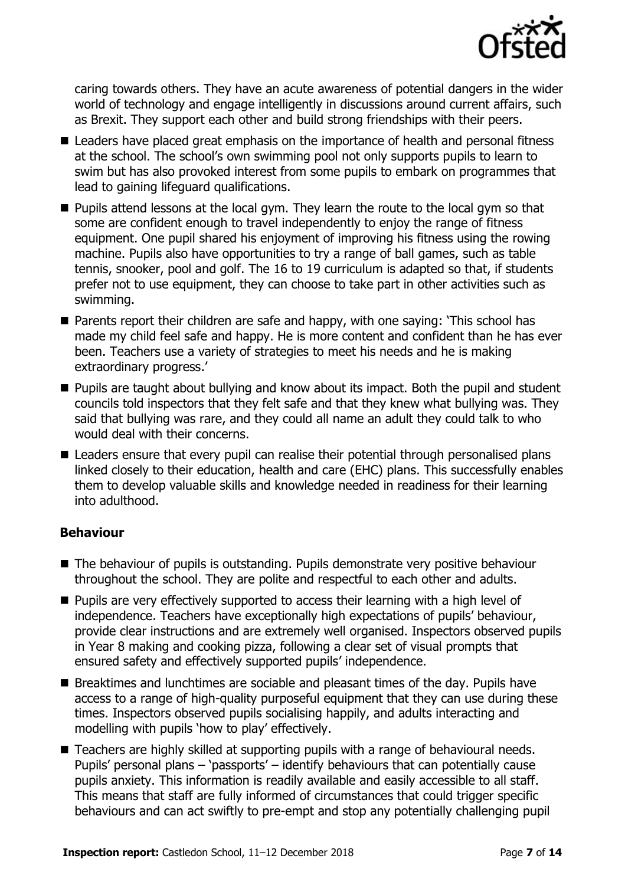

caring towards others. They have an acute awareness of potential dangers in the wider world of technology and engage intelligently in discussions around current affairs, such as Brexit. They support each other and build strong friendships with their peers.

- Leaders have placed great emphasis on the importance of health and personal fitness at the school. The school's own swimming pool not only supports pupils to learn to swim but has also provoked interest from some pupils to embark on programmes that lead to gaining lifeguard qualifications.
- **Pupils attend lessons at the local gym. They learn the route to the local gym so that** some are confident enough to travel independently to enjoy the range of fitness equipment. One pupil shared his enjoyment of improving his fitness using the rowing machine. Pupils also have opportunities to try a range of ball games, such as table tennis, snooker, pool and golf. The 16 to 19 curriculum is adapted so that, if students prefer not to use equipment, they can choose to take part in other activities such as swimming.
- Parents report their children are safe and happy, with one saying: 'This school has made my child feel safe and happy. He is more content and confident than he has ever been. Teachers use a variety of strategies to meet his needs and he is making extraordinary progress.'
- **Pupils are taught about bullying and know about its impact. Both the pupil and student** councils told inspectors that they felt safe and that they knew what bullying was. They said that bullying was rare, and they could all name an adult they could talk to who would deal with their concerns.
- Leaders ensure that every pupil can realise their potential through personalised plans linked closely to their education, health and care (EHC) plans. This successfully enables them to develop valuable skills and knowledge needed in readiness for their learning into adulthood.

### **Behaviour**

- The behaviour of pupils is outstanding. Pupils demonstrate very positive behaviour throughout the school. They are polite and respectful to each other and adults.
- Pupils are very effectively supported to access their learning with a high level of independence. Teachers have exceptionally high expectations of pupils' behaviour, provide clear instructions and are extremely well organised. Inspectors observed pupils in Year 8 making and cooking pizza, following a clear set of visual prompts that ensured safety and effectively supported pupils' independence.
- **Breaktimes and lunchtimes are sociable and pleasant times of the day. Pupils have** access to a range of high-quality purposeful equipment that they can use during these times. Inspectors observed pupils socialising happily, and adults interacting and modelling with pupils 'how to play' effectively.
- Teachers are highly skilled at supporting pupils with a range of behavioural needs. Pupils' personal plans – 'passports' – identify behaviours that can potentially cause pupils anxiety. This information is readily available and easily accessible to all staff. This means that staff are fully informed of circumstances that could trigger specific behaviours and can act swiftly to pre-empt and stop any potentially challenging pupil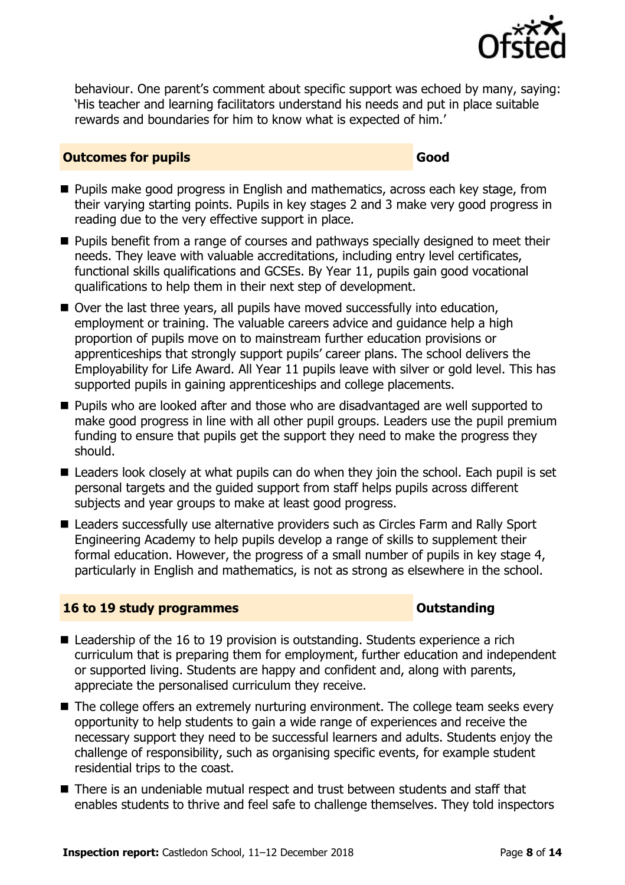

behaviour. One parent's comment about specific support was echoed by many, saying: 'His teacher and learning facilitators understand his needs and put in place suitable rewards and boundaries for him to know what is expected of him.'

#### **Outcomes for pupils Good**

- **Pupils make good progress in English and mathematics, across each key stage, from** their varying starting points. Pupils in key stages 2 and 3 make very good progress in reading due to the very effective support in place.
- **Pupils benefit from a range of courses and pathways specially designed to meet their** needs. They leave with valuable accreditations, including entry level certificates, functional skills qualifications and GCSEs. By Year 11, pupils gain good vocational qualifications to help them in their next step of development.
- Over the last three years, all pupils have moved successfully into education, employment or training. The valuable careers advice and guidance help a high proportion of pupils move on to mainstream further education provisions or apprenticeships that strongly support pupils' career plans. The school delivers the Employability for Life Award. All Year 11 pupils leave with silver or gold level. This has supported pupils in gaining apprenticeships and college placements.
- **Pupils who are looked after and those who are disadvantaged are well supported to** make good progress in line with all other pupil groups. Leaders use the pupil premium funding to ensure that pupils get the support they need to make the progress they should.
- Leaders look closely at what pupils can do when they join the school. Each pupil is set personal targets and the guided support from staff helps pupils across different subjects and year groups to make at least good progress.
- Leaders successfully use alternative providers such as Circles Farm and Rally Sport Engineering Academy to help pupils develop a range of skills to supplement their formal education. However, the progress of a small number of pupils in key stage 4, particularly in English and mathematics, is not as strong as elsewhere in the school.

#### **16 to 19 study programmes CONSTANDING CONSTANDING CONSTANDING CONSTANDING CONSTANDING CONSTANDING CONSTANDING CONSTANDING CONSTANDING CONSTANDING CONSTANDING CONSTANDING CONSTANDING CONSTANDING CONSTANDING CONSTANDING C**

- Leadership of the 16 to 19 provision is outstanding. Students experience a rich curriculum that is preparing them for employment, further education and independent or supported living. Students are happy and confident and, along with parents, appreciate the personalised curriculum they receive.
- The college offers an extremely nurturing environment. The college team seeks every opportunity to help students to gain a wide range of experiences and receive the necessary support they need to be successful learners and adults. Students enjoy the challenge of responsibility, such as organising specific events, for example student residential trips to the coast.
- There is an undeniable mutual respect and trust between students and staff that enables students to thrive and feel safe to challenge themselves. They told inspectors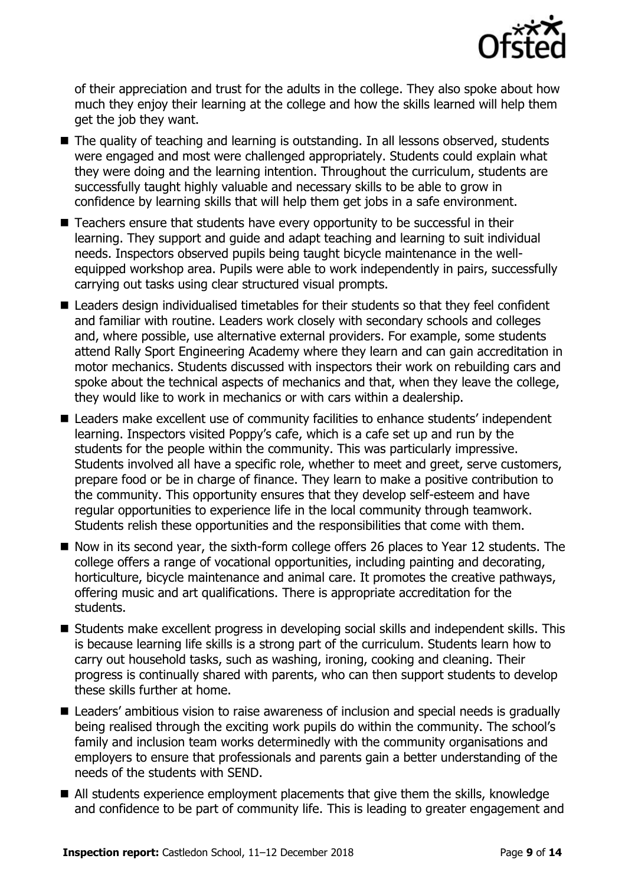

of their appreciation and trust for the adults in the college. They also spoke about how much they enjoy their learning at the college and how the skills learned will help them get the job they want.

- The quality of teaching and learning is outstanding. In all lessons observed, students were engaged and most were challenged appropriately. Students could explain what they were doing and the learning intention. Throughout the curriculum, students are successfully taught highly valuable and necessary skills to be able to grow in confidence by learning skills that will help them get jobs in a safe environment.
- Teachers ensure that students have every opportunity to be successful in their learning. They support and guide and adapt teaching and learning to suit individual needs. Inspectors observed pupils being taught bicycle maintenance in the wellequipped workshop area. Pupils were able to work independently in pairs, successfully carrying out tasks using clear structured visual prompts.
- Leaders design individualised timetables for their students so that they feel confident and familiar with routine. Leaders work closely with secondary schools and colleges and, where possible, use alternative external providers. For example, some students attend Rally Sport Engineering Academy where they learn and can gain accreditation in motor mechanics. Students discussed with inspectors their work on rebuilding cars and spoke about the technical aspects of mechanics and that, when they leave the college, they would like to work in mechanics or with cars within a dealership.
- Leaders make excellent use of community facilities to enhance students' independent learning. Inspectors visited Poppy's cafe, which is a cafe set up and run by the students for the people within the community. This was particularly impressive. Students involved all have a specific role, whether to meet and greet, serve customers, prepare food or be in charge of finance. They learn to make a positive contribution to the community. This opportunity ensures that they develop self-esteem and have regular opportunities to experience life in the local community through teamwork. Students relish these opportunities and the responsibilities that come with them.
- Now in its second year, the sixth-form college offers 26 places to Year 12 students. The college offers a range of vocational opportunities, including painting and decorating, horticulture, bicycle maintenance and animal care. It promotes the creative pathways, offering music and art qualifications. There is appropriate accreditation for the students.
- Students make excellent progress in developing social skills and independent skills. This is because learning life skills is a strong part of the curriculum. Students learn how to carry out household tasks, such as washing, ironing, cooking and cleaning. Their progress is continually shared with parents, who can then support students to develop these skills further at home.
- Leaders' ambitious vision to raise awareness of inclusion and special needs is gradually being realised through the exciting work pupils do within the community. The school's family and inclusion team works determinedly with the community organisations and employers to ensure that professionals and parents gain a better understanding of the needs of the students with SEND.
- All students experience employment placements that give them the skills, knowledge and confidence to be part of community life. This is leading to greater engagement and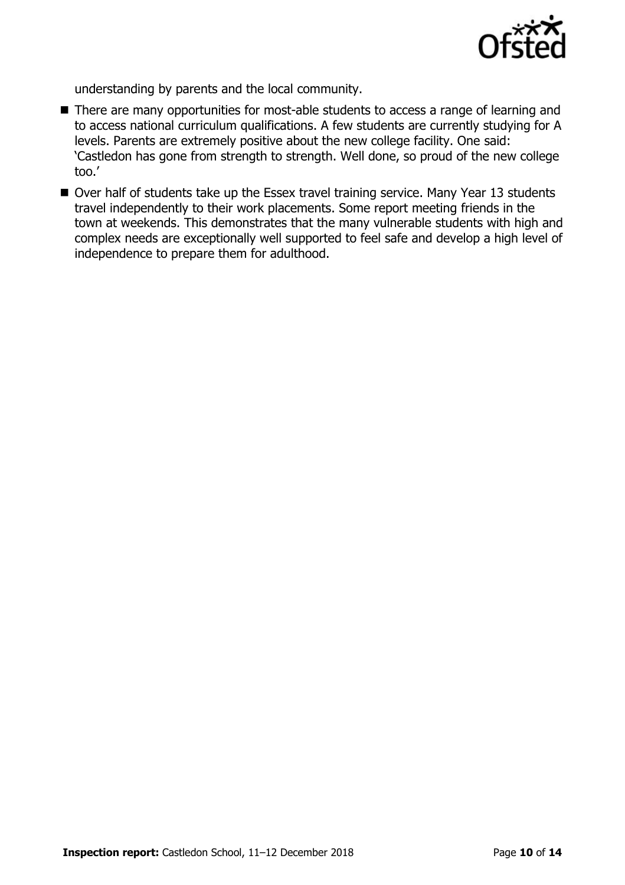

understanding by parents and the local community.

- There are many opportunities for most-able students to access a range of learning and to access national curriculum qualifications. A few students are currently studying for A levels. Parents are extremely positive about the new college facility. One said: 'Castledon has gone from strength to strength. Well done, so proud of the new college too.'
- Over half of students take up the Essex travel training service. Many Year 13 students travel independently to their work placements. Some report meeting friends in the town at weekends. This demonstrates that the many vulnerable students with high and complex needs are exceptionally well supported to feel safe and develop a high level of independence to prepare them for adulthood.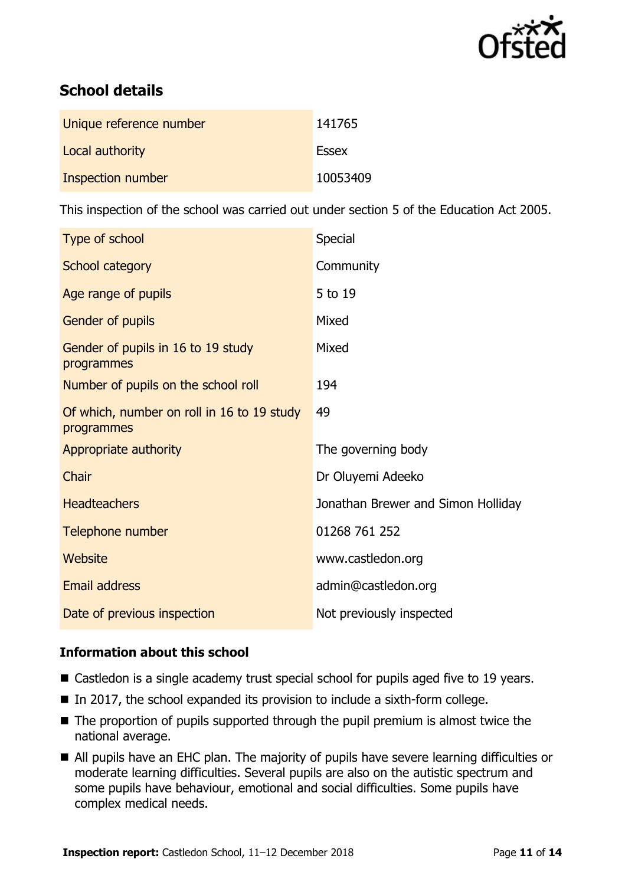

# **School details**

| Unique reference number | 141765       |
|-------------------------|--------------|
| Local authority         | <b>Essex</b> |
| Inspection number       | 10053409     |

This inspection of the school was carried out under section 5 of the Education Act 2005.

| Type of school                                           | Special                            |
|----------------------------------------------------------|------------------------------------|
| School category                                          | Community                          |
| Age range of pupils                                      | 5 to 19                            |
| <b>Gender of pupils</b>                                  | Mixed                              |
| Gender of pupils in 16 to 19 study<br>programmes         | Mixed                              |
| Number of pupils on the school roll                      | 194                                |
| Of which, number on roll in 16 to 19 study<br>programmes | 49                                 |
| Appropriate authority                                    | The governing body                 |
| Chair                                                    | Dr Oluyemi Adeeko                  |
| <b>Headteachers</b>                                      | Jonathan Brewer and Simon Holliday |
| Telephone number                                         | 01268 761 252                      |
| Website                                                  | www.castledon.org                  |
| Email address                                            | admin@castledon.org                |
| Date of previous inspection                              | Not previously inspected           |

### **Information about this school**

- Castledon is a single academy trust special school for pupils aged five to 19 years.
- In 2017, the school expanded its provision to include a sixth-form college.
- $\blacksquare$  The proportion of pupils supported through the pupil premium is almost twice the national average.
- All pupils have an EHC plan. The majority of pupils have severe learning difficulties or moderate learning difficulties. Several pupils are also on the autistic spectrum and some pupils have behaviour, emotional and social difficulties. Some pupils have complex medical needs.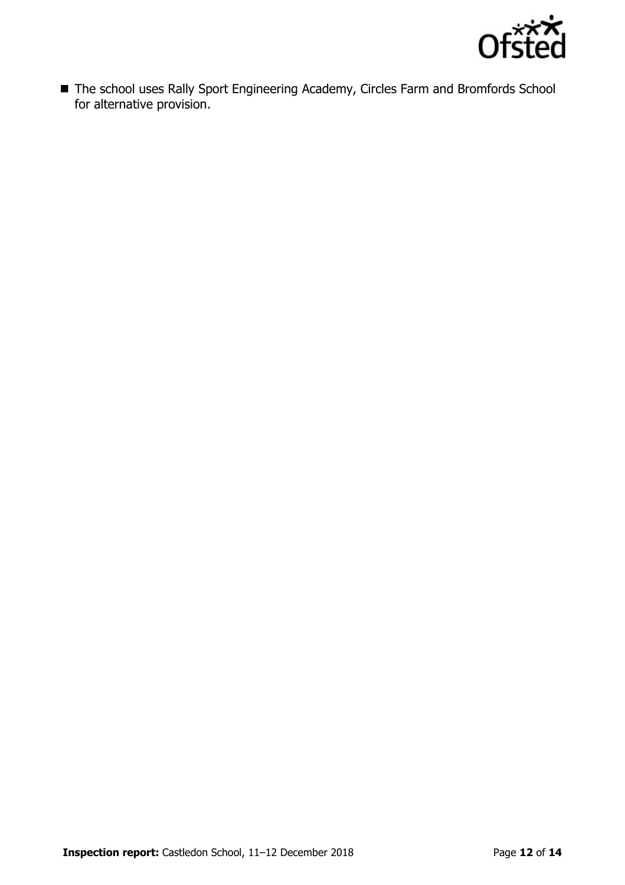

■ The school uses Rally Sport Engineering Academy, Circles Farm and Bromfords School for alternative provision.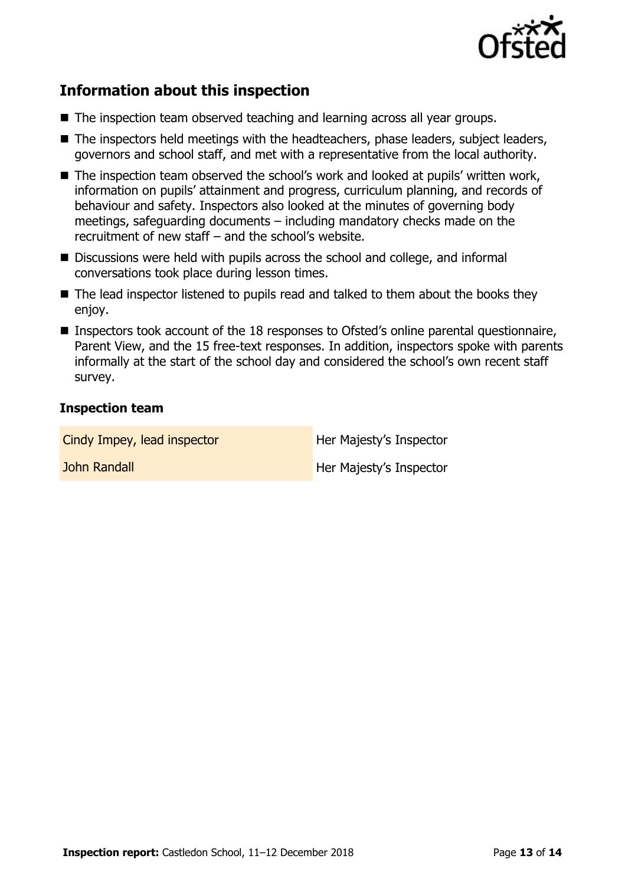

# **Information about this inspection**

- The inspection team observed teaching and learning across all year groups.
- The inspectors held meetings with the headteachers, phase leaders, subject leaders, governors and school staff, and met with a representative from the local authority.
- The inspection team observed the school's work and looked at pupils' written work, information on pupils' attainment and progress, curriculum planning, and records of behaviour and safety. Inspectors also looked at the minutes of governing body meetings, safeguarding documents – including mandatory checks made on the recruitment of new staff – and the school's website.
- Discussions were held with pupils across the school and college, and informal conversations took place during lesson times.
- The lead inspector listened to pupils read and talked to them about the books they enjoy.
- Inspectors took account of the 18 responses to Ofsted's online parental questionnaire, Parent View, and the 15 free-text responses. In addition, inspectors spoke with parents informally at the start of the school day and considered the school's own recent staff survey.

### **Inspection team**

| Cindy Impey, lead inspector | Her Majesty's Inspector |
|-----------------------------|-------------------------|
| John Randall                | Her Majesty's Inspector |